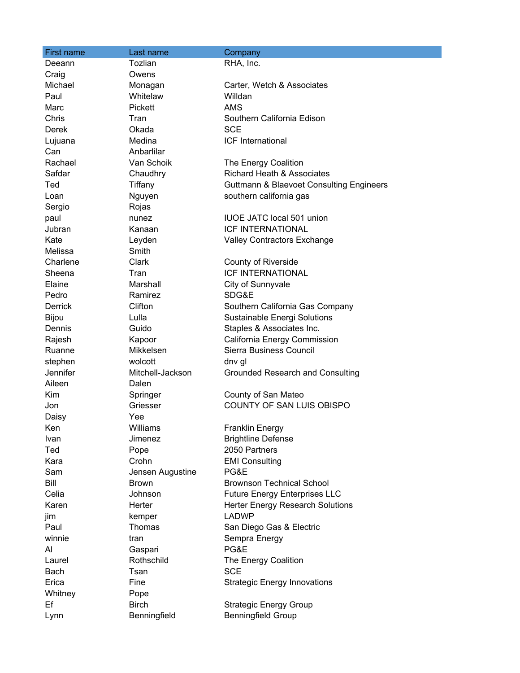| First name     | Last name        | Company                                             |
|----------------|------------------|-----------------------------------------------------|
| Deeann         | Tozlian          | RHA, Inc.                                           |
| Craig          | Owens            |                                                     |
| Michael        | Monagan          | Carter, Wetch & Associates                          |
| Paul           | Whitelaw         | Willdan                                             |
| Marc           | <b>Pickett</b>   | <b>AMS</b>                                          |
| Chris          | Tran             | Southern California Edison                          |
| Derek          | Okada            | <b>SCE</b>                                          |
| Lujuana        | Medina           | <b>ICF</b> International                            |
| Can            | Anbarlilar       |                                                     |
| Rachael        | Van Schoik       | The Energy Coalition                                |
| Safdar         | Chaudhry         | <b>Richard Heath &amp; Associates</b>               |
| Ted            | Tiffany          | <b>Guttmann &amp; Blaevoet Consulting Engineers</b> |
| Loan           | Nguyen           | southern california gas                             |
| Sergio         | Rojas            |                                                     |
| paul           | nunez            | <b>IUOE JATC local 501 union</b>                    |
| Jubran         | Kanaan           | <b>ICF INTERNATIONAL</b>                            |
| Kate           | Leyden           | <b>Valley Contractors Exchange</b>                  |
| Melissa        | Smith            |                                                     |
| Charlene       | Clark            | <b>County of Riverside</b>                          |
| Sheena         | Tran             | <b>ICF INTERNATIONAL</b>                            |
| Elaine         | Marshall         | City of Sunnyvale                                   |
| Pedro          | Ramirez          | SDG&E                                               |
| <b>Derrick</b> | Clifton          | Southern California Gas Company                     |
| Bijou          | Lulla            | Sustainable Energi Solutions                        |
| Dennis         | Guido            | Staples & Associates Inc.                           |
| Rajesh         | Kapoor           | California Energy Commission                        |
| Ruanne         | Mikkelsen        | Sierra Business Council                             |
| stephen        | wolcott          | dnv gl                                              |
| Jennifer       | Mitchell-Jackson | Grounded Research and Consulting                    |
| Aileen         | Dalen            |                                                     |
| Kim            | Springer         | County of San Mateo                                 |
| Jon            | Griesser         | COUNTY OF SAN LUIS OBISPO                           |
| Daisy          | Yee              |                                                     |
| Ken            | Williams         | <b>Franklin Energy</b>                              |
| Ivan           | Jimenez          | <b>Brightline Defense</b>                           |
| Ted            | Pope             | 2050 Partners                                       |
| Kara           | Crohn            | <b>EMI Consulting</b>                               |
| Sam            | Jensen Augustine | PG&E                                                |
| Bill           | <b>Brown</b>     | <b>Brownson Technical School</b>                    |
| Celia          | Johnson          | <b>Future Energy Enterprises LLC</b>                |
| Karen          | Herter           | <b>Herter Energy Research Solutions</b>             |
| jim            | kemper           | <b>LADWP</b>                                        |
| Paul           | Thomas           | San Diego Gas & Electric                            |
| winnie         | tran             | Sempra Energy                                       |
| Al             | Gaspari          | PG&E                                                |
| Laurel         | Rothschild       | The Energy Coalition                                |
| Bach           | Tsan             | <b>SCE</b>                                          |
| Erica          | Fine             | <b>Strategic Energy Innovations</b>                 |
| Whitney        | Pope             |                                                     |
| Ef             | <b>Birch</b>     | <b>Strategic Energy Group</b>                       |
| Lynn           | Benningfield     | <b>Benningfield Group</b>                           |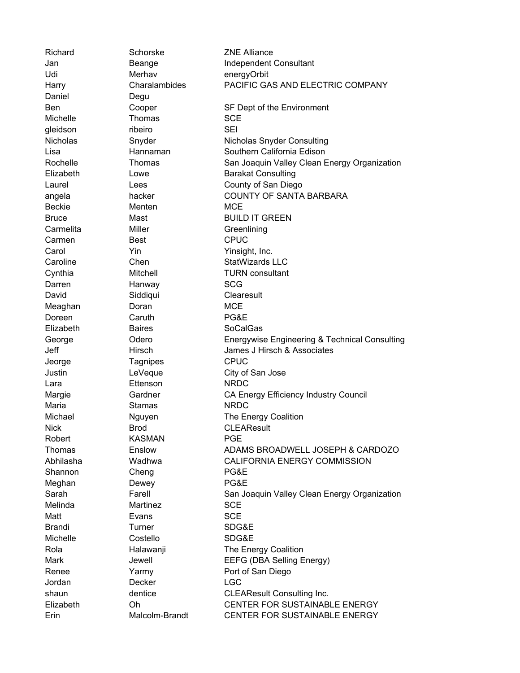| Richard         | Schorske       | <b>ZNE Alliance</b>                           |
|-----------------|----------------|-----------------------------------------------|
| Jan             | Beange         | Independent Consultant                        |
| Udi             | Merhav         | energyOrbit                                   |
| Harry           | Charalambides  | PACIFIC GAS AND ELECTRIC COMPANY              |
| Daniel          | Degu           |                                               |
| Ben             | Cooper         | SF Dept of the Environment                    |
| Michelle        | Thomas         | <b>SCE</b>                                    |
| gleidson        | ribeiro        | SEI                                           |
| <b>Nicholas</b> | Snyder         | Nicholas Snyder Consulting                    |
| Lisa            | Hannaman       | Southern California Edison                    |
| Rochelle        | Thomas         | San Joaquin Valley Clean Energy Organization  |
| Elizabeth       | Lowe           | <b>Barakat Consulting</b>                     |
| Laurel          | Lees           | County of San Diego                           |
| angela          | hacker         | <b>COUNTY OF SANTA BARBARA</b>                |
| <b>Beckie</b>   | Menten         | <b>MCE</b>                                    |
| <b>Bruce</b>    | Mast           | <b>BUILD IT GREEN</b>                         |
| Carmelita       | Miller         | Greenlining                                   |
| Carmen          | Best           | <b>CPUC</b>                                   |
| Carol           | Yin            | Yinsight, Inc.                                |
| Caroline        | Chen           | <b>StatWizards LLC</b>                        |
| Cynthia         | Mitchell       | <b>TURN</b> consultant                        |
| Darren          | Hanway         | <b>SCG</b>                                    |
| David           | Siddiqui       | Clearesult                                    |
| Meaghan         | Doran          | <b>MCE</b>                                    |
| Doreen          | Caruth         | PG&E                                          |
| Elizabeth       | <b>Baires</b>  | <b>SoCalGas</b>                               |
| George          | Odero          | Energywise Engineering & Technical Consulting |
| Jeff            | Hirsch         | James J Hirsch & Associates                   |
| Jeorge          | Tagnipes       | <b>CPUC</b>                                   |
| Justin          | LeVeque        | City of San Jose                              |
| Lara            | Ettenson       | <b>NRDC</b>                                   |
| Margie          | Gardner        | CA Energy Efficiency Industry Council         |
| Maria           | <b>Stamas</b>  | <b>NRDC</b>                                   |
| Michael         | Nguyen         | The Energy Coalition                          |
| <b>Nick</b>     | Brod           | <b>CLEAResult</b>                             |
| Robert          | <b>KASMAN</b>  | <b>PGE</b>                                    |
| Thomas          | Enslow         | ADAMS BROADWELL JOSEPH & CARDOZO              |
| Abhilasha       | Wadhwa         | CALIFORNIA ENERGY COMMISSION                  |
| Shannon         | Cheng          | PG&E                                          |
| Meghan          | Dewey          | PG&E                                          |
| Sarah           | Farell         | San Joaquin Valley Clean Energy Organization  |
| Melinda         | Martinez       | <b>SCE</b>                                    |
| Matt            | Evans          | <b>SCE</b>                                    |
| <b>Brandi</b>   | Turner         | SDG&E                                         |
| Michelle        | Costello       | SDG&E                                         |
| Rola            | Halawanji      | The Energy Coalition                          |
| Mark            | Jewell         | EEFG (DBA Selling Energy)                     |
| Renee           | Yarmy          | Port of San Diego                             |
| Jordan          | Decker         | <b>LGC</b>                                    |
| shaun           | dentice        | <b>CLEAResult Consulting Inc.</b>             |
| Elizabeth       | Oh             | CENTER FOR SUSTAINABLE ENERGY                 |
| Erin            | Malcolm-Brandt | CENTER FOR SUSTAINABLE ENERGY                 |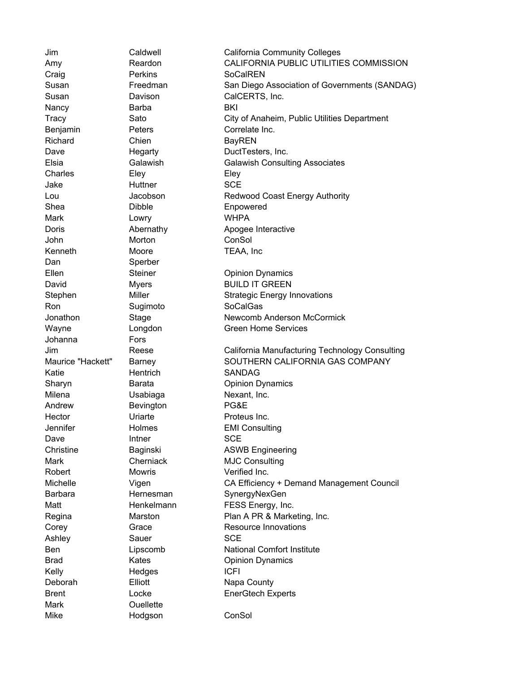Craig **Perkins** SoCalREN Nancy **Barba** BKI Richard Chien Chien BayREN Charles Eley Elev Eley Jake Huttner SCE Shea Dibble Enpowered Mark **Lowry WHPA** John Morton ConSol Kenneth Moore TEAA, Inc Dan Sperber Ron Sugimoto SoCalGas Johanna Fors Katie **Hentrich** SANDAG Milena **Usabiaga** Nexant, Inc. Andrew **Bevington PG&E** Hector **Uriarte Proteus Inc.** Dave **Intner** SCE Robert Mowris Verified Inc. Ashley Sauer Sauer SCE Kelly Hedges ICFI Mark **Ouellette** 

Mike Hodgson ConSol

Jim Caldwell California Community Colleges Amy Reardon CALIFORNIA PUBLIC UTILITIES COMMISSION Susan Freedman San Diego Association of Governments (SANDAG) Susan Davison CalCERTS, Inc. Tracy Sato City of Anaheim, Public Utilities Department Benjamin Peters Correlate Inc. Dave Hegarty DuctTesters, Inc. Elsia Galawish Galawish Consulting Associates Lou Jacobson Redwood Coast Energy Authority Doris **Abernathy** Apogee Interactive Ellen Steiner Christener Opinion Dynamics David Myers BUILD IT GREEN Stephen Miller Miller Strategic Energy Innovations Jonathon Stage Newcomb Anderson McCormick Wayne **Longdon** Creen Home Services Jim Reese California Manufacturing Technology Consulting Maurice "Hackett" Barney SOUTHERN CALIFORNIA GAS COMPANY Sharyn Barata Opinion Dynamics Jennifer Holmes EMI Consulting Christine **Baginski** Baginski ASWB Engineering Mark Cherniack MJC Consulting Michelle Vigen CA Efficiency + Demand Management Council Barbara **Hernesman** SynergyNexGen Matt Henkelmann FESS Energy, Inc. Regina Marston Plan A PR & Marketing, Inc. Corey **Grace Grace** Resource Innovations Ben Lipscomb National Comfort Institute Brad Kates Copinion Dynamics Deborah **Elliott** Elliott Napa County Brent **EnerGtech Experts**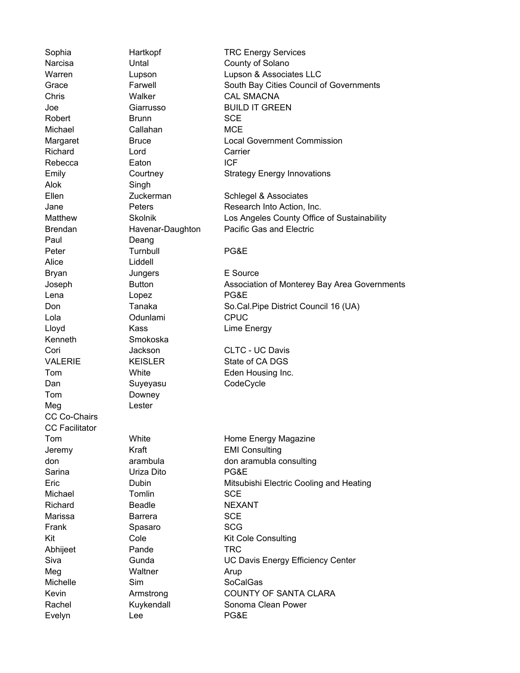Alok Singh Paul Deang Alice Liddell Kenneth Smokoska Tom Downey Meg Lester CC Co-Chairs CC Facilitator

Chris Walker CAL SMACNA Robert Brunn SCE Michael Callahan MCE Richard **Lord** Carrier Rebecca **Eaton ICF** Peter **Turnbull** PG&E Bryan Jungers E Source Lena Lopez PG&E Lola Odunlami CPUC Lloyd Kass Lime Energy Dan Suyeyasu CodeCycle Jeremy Kraft EMI Consulting Sarina Uriza Dito PG&E Michael **Tomlin** SCE Richard **Beadle NEXANT** Marissa Barrera SCE Frank Spasaro SCG Abhijeet Pande TRC Meg Waltner Arup Michelle Sim Sim SoCalGas Evelyn Lee PG&E

Sophia **Hartkopf** TRC Energy Services Narcisa **Untal** Untal County of Solano Warren Lupson Lupson & Associates LLC Grace Farwell South Bay Cities Council of Governments Joe Giarrusso BUILD IT GREEN Margaret Bruce Bruce Local Government Commission Emily Courtney Strategy Energy Innovations Ellen Zuckerman Schlegel & Associates Jane **Peters** Peters Research Into Action, Inc. Matthew Skolnik Los Angeles County Office of Sustainability Brendan **Havenar-Daughton** Pacific Gas and Electric Joseph Button Association of Monterey Bay Area Governments Don Tanaka So.Cal.Pipe District Council 16 (UA) Cori Jackson CLTC - UC Davis VALERIE KEISLER State of CA DGS Tom White **Eden Housing Inc.** Tom White White Home Energy Magazine don arambula don aramubla consulting Eric Dubin Mitsubishi Electric Cooling and Heating Kit Cole Cole Kit Cole Consulting Siva Gunda UC Davis Energy Efficiency Center Kevin **Armstrong** COUNTY OF SANTA CLARA Rachel **Kuykendall** Sonoma Clean Power